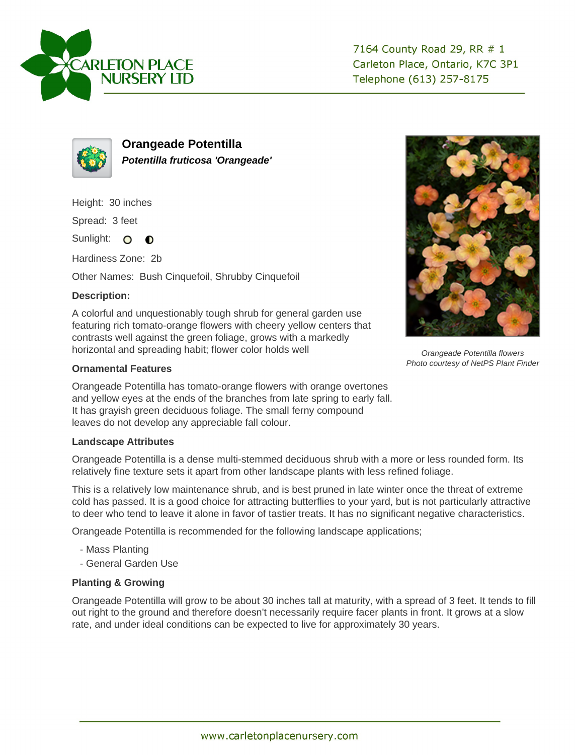



**Orangeade Potentilla Potentilla fruticosa 'Orangeade'**

Height: 30 inches

Spread: 3 feet

Sunlight: O **O** 

Hardiness Zone: 2b

Other Names: Bush Cinquefoil, Shrubby Cinquefoil

## **Description:**

A colorful and unquestionably tough shrub for general garden use featuring rich tomato-orange flowers with cheery yellow centers that contrasts well against the green foliage, grows with a markedly horizontal and spreading habit; flower color holds well

## **Ornamental Features**

Orangeade Potentilla has tomato-orange flowers with orange overtones and yellow eyes at the ends of the branches from late spring to early fall. It has grayish green deciduous foliage. The small ferny compound leaves do not develop any appreciable fall colour.

## **Landscape Attributes**

Orangeade Potentilla is a dense multi-stemmed deciduous shrub with a more or less rounded form. Its relatively fine texture sets it apart from other landscape plants with less refined foliage.

This is a relatively low maintenance shrub, and is best pruned in late winter once the threat of extreme cold has passed. It is a good choice for attracting butterflies to your yard, but is not particularly attractive to deer who tend to leave it alone in favor of tastier treats. It has no significant negative characteristics.

Orangeade Potentilla is recommended for the following landscape applications;

- Mass Planting
- General Garden Use

## **Planting & Growing**

Orangeade Potentilla will grow to be about 30 inches tall at maturity, with a spread of 3 feet. It tends to fill out right to the ground and therefore doesn't necessarily require facer plants in front. It grows at a slow rate, and under ideal conditions can be expected to live for approximately 30 years.



Orangeade Potentilla flowers Photo courtesy of NetPS Plant Finder